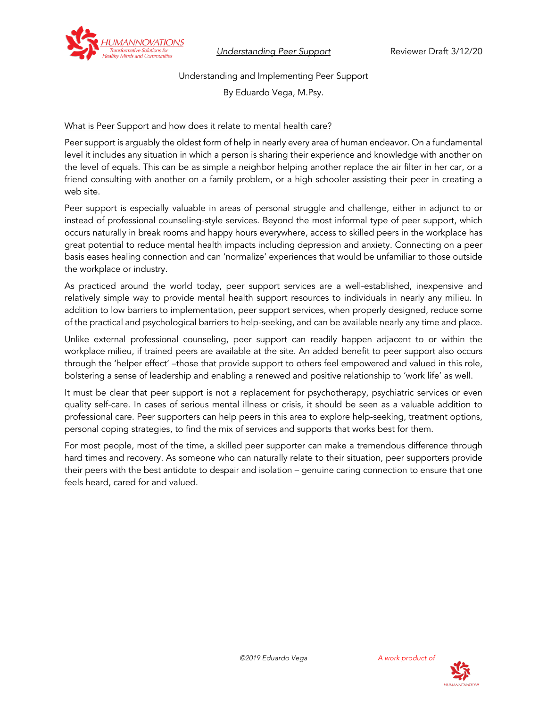

*Understanding Peer Support* Reviewer Draft 3/12/20

## Understanding and Implementing Peer Support

By Eduardo Vega, M.Psy.

# What is Peer Support and how does it relate to mental health care?

Peer support is arguably the oldest form of help in nearly every area of human endeavor. On a fundamental level it includes any situation in which a person is sharing their experience and knowledge with another on the level of equals. This can be as simple a neighbor helping another replace the air filter in her car, or a friend consulting with another on a family problem, or a high schooler assisting their peer in creating a web site.

Peer support is especially valuable in areas of personal struggle and challenge, either in adjunct to or instead of professional counseling-style services. Beyond the most informal type of peer support, which occurs naturally in break rooms and happy hours everywhere, access to skilled peers in the workplace has great potential to reduce mental health impacts including depression and anxiety. Connecting on a peer basis eases healing connection and can 'normalize' experiences that would be unfamiliar to those outside the workplace or industry.

As practiced around the world today, peer support services are a well-established, inexpensive and relatively simple way to provide mental health support resources to individuals in nearly any milieu. In addition to low barriers to implementation, peer support services, when properly designed, reduce some of the practical and psychological barriers to help-seeking, and can be available nearly any time and place.

Unlike external professional counseling, peer support can readily happen adjacent to or within the workplace milieu, if trained peers are available at the site. An added benefit to peer support also occurs through the 'helper effect' –those that provide support to others feel empowered and valued in this role, bolstering a sense of leadership and enabling a renewed and positive relationship to 'work life' as well.

It must be clear that peer support is not a replacement for psychotherapy, psychiatric services or even quality self-care. In cases of serious mental illness or crisis, it should be seen as a valuable addition to professional care. Peer supporters can help peers in this area to explore help-seeking, treatment options, personal coping strategies, to find the mix of services and supports that works best for them.

For most people, most of the time, a skilled peer supporter can make a tremendous difference through hard times and recovery. As someone who can naturally relate to their situation, peer supporters provide their peers with the best antidote to despair and isolation – genuine caring connection to ensure that one feels heard, cared for and valued.

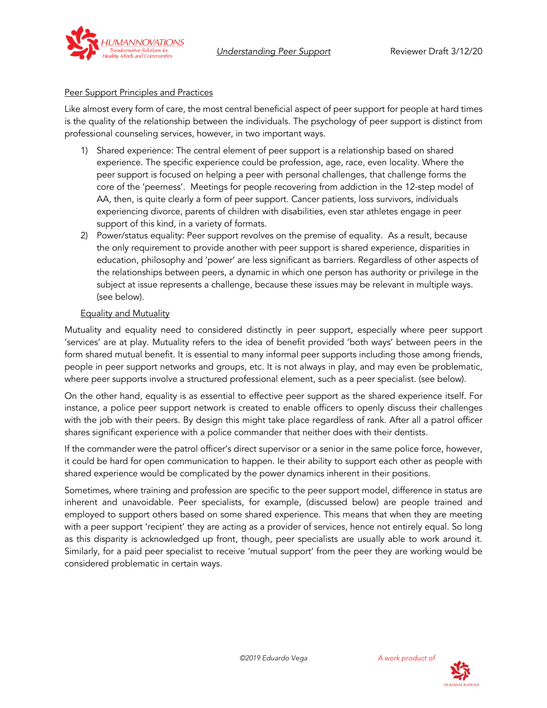

#### Peer Support Principles and Practices

Like almost every form of care, the most central beneficial aspect of peer support for people at hard times is the quality of the relationship between the individuals. The psychology of peer support is distinct from professional counseling services, however, in two important ways.

- 1) Shared experience: The central element of peer support is a relationship based on shared experience. The specific experience could be profession, age, race, even locality. Where the peer support is focused on helping a peer with personal challenges, that challenge forms the core of the 'peerness'. Meetings for people recovering from addiction in the 12-step model of AA, then, is quite clearly a form of peer support. Cancer patients, loss survivors, individuals experiencing divorce, parents of children with disabilities, even star athletes engage in peer support of this kind, in a variety of formats.
- 2) Power/status equality: Peer support revolves on the premise of equality. As a result, because the only requirement to provide another with peer support is shared experience, disparities in education, philosophy and 'power' are less significant as barriers. Regardless of other aspects of the relationships between peers, a dynamic in which one person has authority or privilege in the subject at issue represents a challenge, because these issues may be relevant in multiple ways. (see below).

#### Equality and Mutuality

Mutuality and equality need to considered distinctly in peer support, especially where peer support 'services' are at play. Mutuality refers to the idea of benefit provided 'both ways' between peers in the form shared mutual benefit. It is essential to many informal peer supports including those among friends, people in peer support networks and groups, etc. It is not always in play, and may even be problematic, where peer supports involve a structured professional element, such as a peer specialist. (see below).

On the other hand, equality is as essential to effective peer support as the shared experience itself. For instance, a police peer support network is created to enable officers to openly discuss their challenges with the job with their peers. By design this might take place regardless of rank. After all a patrol officer shares significant experience with a police commander that neither does with their dentists.

If the commander were the patrol officer's direct supervisor or a senior in the same police force, however, it could be hard for open communication to happen. Ie their ability to support each other as people with shared experience would be complicated by the power dynamics inherent in their positions.

Sometimes, where training and profession are specific to the peer support model, difference in status are inherent and unavoidable. Peer specialists, for example, (discussed below) are people trained and employed to support others based on some shared experience. This means that when they are meeting with a peer support 'recipient' they are acting as a provider of services, hence not entirely equal. So long as this disparity is acknowledged up front, though, peer specialists are usually able to work around it. Similarly, for a paid peer specialist to receive 'mutual support' from the peer they are working would be considered problematic in certain ways.



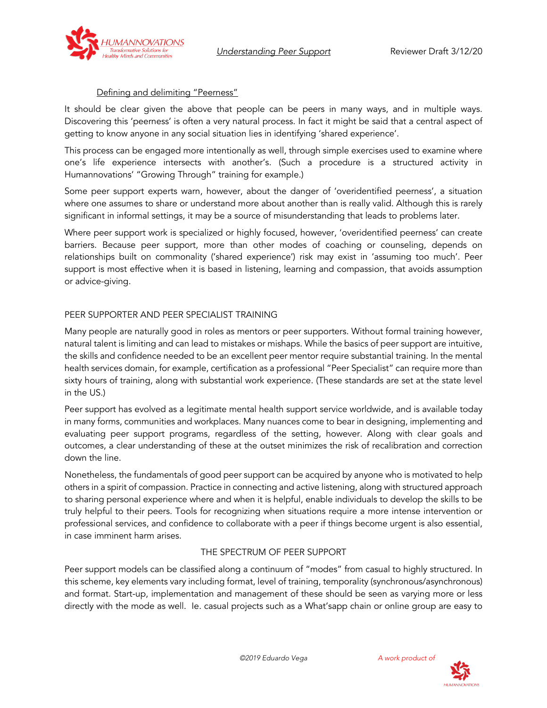*Understanding Peer Support* Reviewer Draft 3/12/20



#### Defining and delimiting "Peerness"

It should be clear given the above that people can be peers in many ways, and in multiple ways. Discovering this 'peerness' is often a very natural process. In fact it might be said that a central aspect of getting to know anyone in any social situation lies in identifying 'shared experience'.

This process can be engaged more intentionally as well, through simple exercises used to examine where one's life experience intersects with another's. (Such a procedure is a structured activity in Humannovations' "Growing Through" training for example.)

Some peer support experts warn, however, about the danger of 'overidentified peerness', a situation where one assumes to share or understand more about another than is really valid. Although this is rarely significant in informal settings, it may be a source of misunderstanding that leads to problems later.

Where peer support work is specialized or highly focused, however, 'overidentified peerness' can create barriers. Because peer support, more than other modes of coaching or counseling, depends on relationships built on commonality ('shared experience') risk may exist in 'assuming too much'. Peer support is most effective when it is based in listening, learning and compassion, that avoids assumption or advice-giving.

## PEER SUPPORTER AND PEER SPECIALIST TRAINING

Many people are naturally good in roles as mentors or peer supporters. Without formal training however, natural talent is limiting and can lead to mistakes or mishaps. While the basics of peer support are intuitive, the skills and confidence needed to be an excellent peer mentor require substantial training. In the mental health services domain, for example, certification as a professional "Peer Specialist" can require more than sixty hours of training, along with substantial work experience. (These standards are set at the state level in the US.)

Peer support has evolved as a legitimate mental health support service worldwide, and is available today in many forms, communities and workplaces. Many nuances come to bear in designing, implementing and evaluating peer support programs, regardless of the setting, however. Along with clear goals and outcomes, a clear understanding of these at the outset minimizes the risk of recalibration and correction down the line.

Nonetheless, the fundamentals of good peer support can be acquired by anyone who is motivated to help others in a spirit of compassion. Practice in connecting and active listening, along with structured approach to sharing personal experience where and when it is helpful, enable individuals to develop the skills to be truly helpful to their peers. Tools for recognizing when situations require a more intense intervention or professional services, and confidence to collaborate with a peer if things become urgent is also essential, in case imminent harm arises.

## THE SPECTRUM OF PEER SUPPORT

Peer support models can be classified along a continuum of "modes" from casual to highly structured. In this scheme, key elements vary including format, level of training, temporality (synchronous/asynchronous) and format. Start-up, implementation and management of these should be seen as varying more or less directly with the mode as well. Ie. casual projects such as a What'sapp chain or online group are easy to



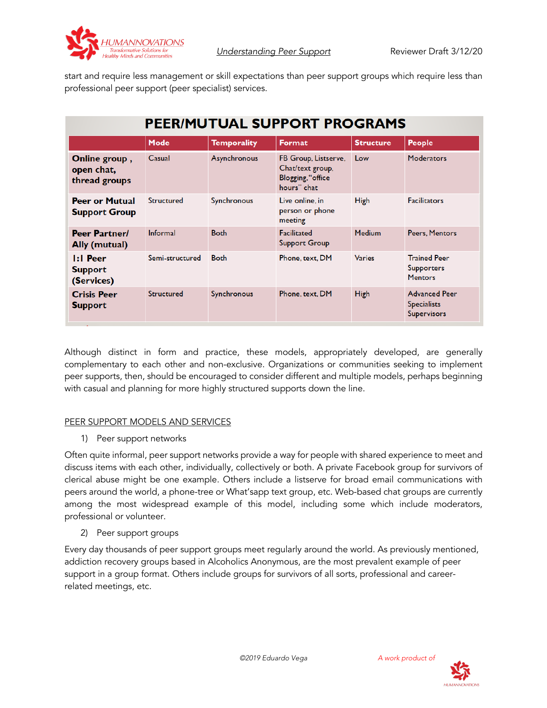

start and require less management or skill expectations than peer support groups which require less than professional peer support (peer specialist) services.

# PEER/MUTUAL SUPPORT PROGRAMS

|                                                     | Mode              | <b>Temporality</b> | Format                                                                       | <b>Structure</b> | People                                                           |
|-----------------------------------------------------|-------------------|--------------------|------------------------------------------------------------------------------|------------------|------------------------------------------------------------------|
| Online group,<br>open chat,<br>thread groups        | Casual            | Asynchronous       | FB Group, Listserve,<br>Chat/text group,<br>Blogging, "office<br>hours" chat | Low              | <b>Moderators</b>                                                |
| <b>Peer or Mutual</b><br><b>Support Group</b>       | <b>Structured</b> | Synchronous        | Live online, in<br>person or phone<br>meeting                                | <b>High</b>      | <b>Facilitators</b>                                              |
| <b>Peer Partner/</b><br>Ally (mutual)               | Informal          | <b>Both</b>        | Facilitated<br><b>Support Group</b>                                          | <b>Medium</b>    | Peers, Mentors                                                   |
| $\mathsf{I}$ : Peer<br><b>Support</b><br>(Services) | Semi-structured   | <b>Both</b>        | Phone, text, DM                                                              | <b>Varies</b>    | <b>Trained Peer</b><br><b>Supporters</b><br><b>Mentors</b>       |
| <b>Crisis Peer</b><br><b>Support</b>                | <b>Structured</b> | Synchronous        | Phone, text, DM                                                              | <b>High</b>      | <b>Advanced Peer</b><br><b>Specialists</b><br><b>Supervisors</b> |

Although distinct in form and practice, these models, appropriately developed, are generally complementary to each other and non-exclusive. Organizations or communities seeking to implement peer supports, then, should be encouraged to consider different and multiple models, perhaps beginning with casual and planning for more highly structured supports down the line.

#### PEER SUPPORT MODELS AND SERVICES

1) Peer support networks

Often quite informal, peer support networks provide a way for people with shared experience to meet and discuss items with each other, individually, collectively or both. A private Facebook group for survivors of clerical abuse might be one example. Others include a listserve for broad email communications with peers around the world, a phone-tree or What'sapp text group, etc. Web-based chat groups are currently among the most widespread example of this model, including some which include moderators, professional or volunteer.

2) Peer support groups

Every day thousands of peer support groups meet regularly around the world. As previously mentioned, addiction recovery groups based in Alcoholics Anonymous, are the most prevalent example of peer support in a group format. Others include groups for survivors of all sorts, professional and careerrelated meetings, etc.

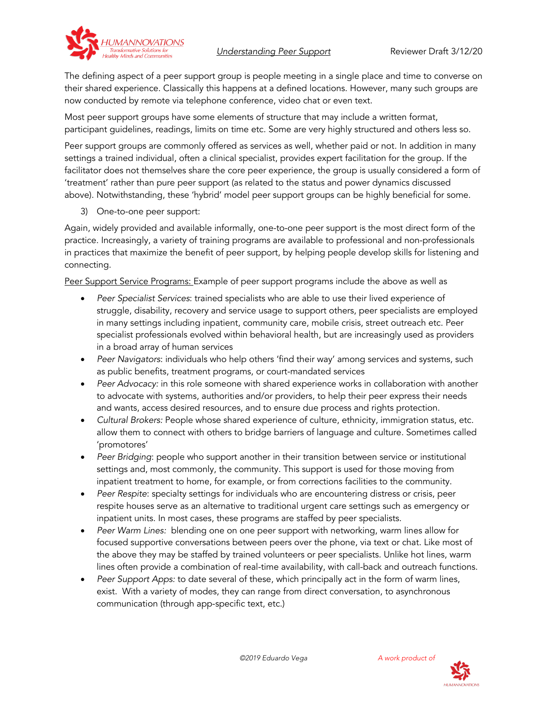



The defining aspect of a peer support group is people meeting in a single place and time to converse on their shared experience. Classically this happens at a defined locations. However, many such groups are now conducted by remote via telephone conference, video chat or even text.

Most peer support groups have some elements of structure that may include a written format, participant guidelines, readings, limits on time etc. Some are very highly structured and others less so.

Peer support groups are commonly offered as services as well, whether paid or not. In addition in many settings a trained individual, often a clinical specialist, provides expert facilitation for the group. If the facilitator does not themselves share the core peer experience, the group is usually considered a form of 'treatment' rather than pure peer support (as related to the status and power dynamics discussed above). Notwithstanding, these 'hybrid' model peer support groups can be highly beneficial for some.

3) One-to-one peer support:

Again, widely provided and available informally, one-to-one peer support is the most direct form of the practice. Increasingly, a variety of training programs are available to professional and non-professionals in practices that maximize the benefit of peer support, by helping people develop skills for listening and connecting.

Peer Support Service Programs: Example of peer support programs include the above as well as

- *Peer Specialist Services*: trained specialists who are able to use their lived experience of struggle, disability, recovery and service usage to support others, peer specialists are employed in many settings including inpatient, community care, mobile crisis, street outreach etc. Peer specialist professionals evolved within behavioral health, but are increasingly used as providers in a broad array of human services
- *Peer Navigators*: individuals who help others 'find their way' among services and systems, such as public benefits, treatment programs, or court-mandated services
- *Peer Advocacy:* in this role someone with shared experience works in collaboration with another to advocate with systems, authorities and/or providers, to help their peer express their needs and wants, access desired resources, and to ensure due process and rights protection.
- *Cultural Brokers:* People whose shared experience of culture, ethnicity, immigration status, etc. allow them to connect with others to bridge barriers of language and culture. Sometimes called 'promotores'
- *Peer Bridging*: people who support another in their transition between service or institutional settings and, most commonly, the community. This support is used for those moving from inpatient treatment to home, for example, or from corrections facilities to the community.
- *Peer Respite*: specialty settings for individuals who are encountering distress or crisis, peer respite houses serve as an alternative to traditional urgent care settings such as emergency or inpatient units. In most cases, these programs are staffed by peer specialists.
- *Peer Warm Lines:* blending one on one peer support with networking, warm lines allow for focused supportive conversations between peers over the phone, via text or chat. Like most of the above they may be staffed by trained volunteers or peer specialists. Unlike hot lines, warm lines often provide a combination of real-time availability, with call-back and outreach functions.
- *Peer Support Apps:* to date several of these, which principally act in the form of warm lines, exist. With a variety of modes, they can range from direct conversation, to asynchronous communication (through app-specific text, etc.)

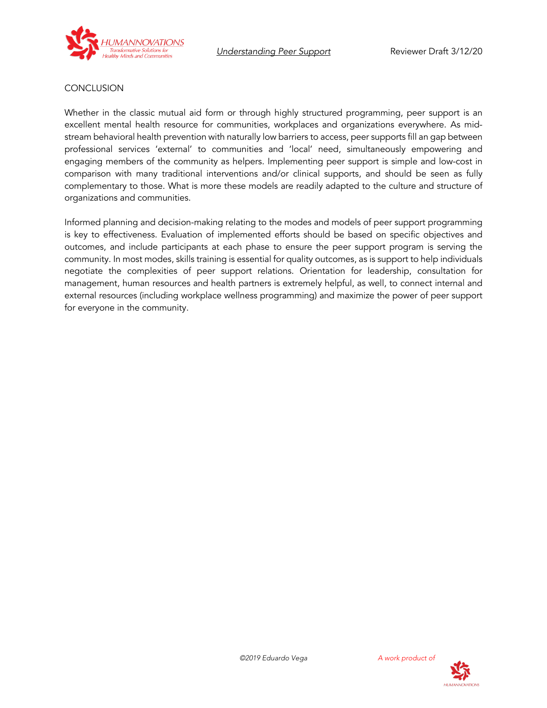



## **CONCLUSION**

Whether in the classic mutual aid form or through highly structured programming, peer support is an excellent mental health resource for communities, workplaces and organizations everywhere. As midstream behavioral health prevention with naturally low barriers to access, peer supports fill an gap between professional services 'external' to communities and 'local' need, simultaneously empowering and engaging members of the community as helpers. Implementing peer support is simple and low-cost in comparison with many traditional interventions and/or clinical supports, and should be seen as fully complementary to those. What is more these models are readily adapted to the culture and structure of organizations and communities.

Informed planning and decision-making relating to the modes and models of peer support programming is key to effectiveness. Evaluation of implemented efforts should be based on specific objectives and outcomes, and include participants at each phase to ensure the peer support program is serving the community. In most modes, skills training is essential for quality outcomes, as is support to help individuals negotiate the complexities of peer support relations. Orientation for leadership, consultation for management, human resources and health partners is extremely helpful, as well, to connect internal and external resources (including workplace wellness programming) and maximize the power of peer support for everyone in the community.